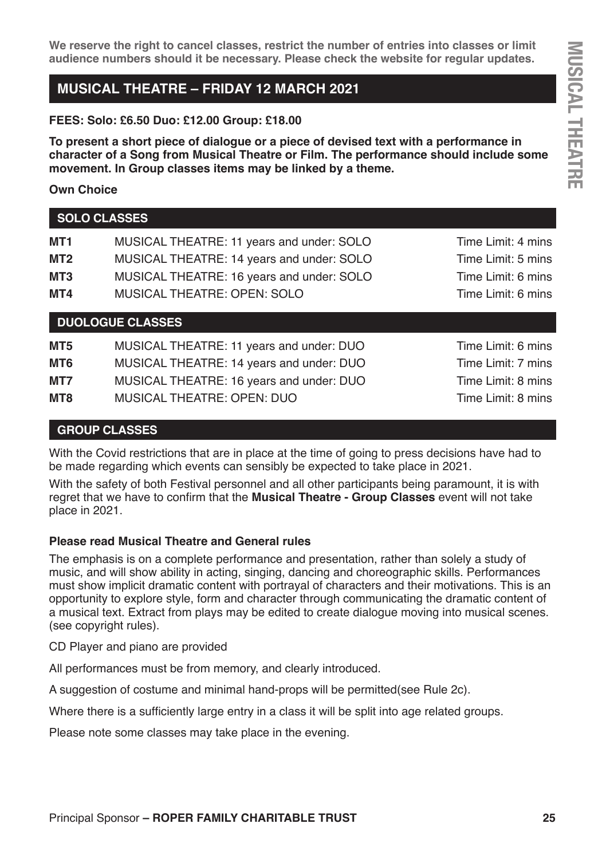**We reserve the right to cancel classes, restrict the number of entries into classes or limit audience numbers should it be necessary. Please check the website for regular updates.**

# **MUSICAL THEATRE – FRIDAY 12 MARCH 2021**

**FEES: Solo: £6.50 Duo: £12.00 Group: £18.00**

**To present a short piece of dialogue or a piece of devised text with a performance in character of a Song from Musical Theatre or Film. The performance should include some movement. In Group classes items may be linked by a theme.**

**Own Choice** 

**SOLO CLASSES**

| MT1             | MUSICAL THEATRE: 11 years and under: SOLO | Time Limit: 4 mins |
|-----------------|-------------------------------------------|--------------------|
| MT <sub>2</sub> | MUSICAL THEATRE: 14 years and under: SOLO | Time Limit: 5 mins |
| MT <sub>3</sub> | MUSICAL THEATRE: 16 years and under: SOLO | Time Limit: 6 mins |
| MT4             | MUSICAL THEATRE: OPEN: SOLO               | Time Limit: 6 mins |
|                 |                                           |                    |

**DUOLOGUE CLASSES**

| MT5 | MUSICAL THEATRE: 11 years and under: DUO |
|-----|------------------------------------------|
| MT6 | MUSICAL THEATRE: 14 years and under: DUO |
| MT7 | MUSICAL THEATRE: 16 years and under: DUO |
| MT8 | MUSICAL THEATRE: OPEN: DUO               |

**Time Limit: 6 mins Time Limit: 7 mins Time Limit: 8 mins** Time Limit: 8 mins

#### **GROUP CLASSES**

With the Covid restrictions that are in place at the time of going to press decisions have had to be made regarding which events can sensibly be expected to take place in 2021.

With the safety of both Festival personnel and all other participants being paramount, it is with regret that we have to confirm that the **Musical Theatre - Group Classes** event will not take place in 2021.

#### **Please read Musical Theatre and General rules**

The emphasis is on a complete performance and presentation, rather than solely a study of music, and will show ability in acting, singing, dancing and choreographic skills. Performances must show implicit dramatic content with portrayal of characters and their motivations. This is an opportunity to explore style, form and character through communicating the dramatic content of a musical text. Extract from plays may be edited to create dialogue moving into musical scenes. (see copyright rules).

CD Player and piano are provided

All performances must be from memory, and clearly introduced.

A suggestion of costume and minimal hand-props will be permitted(see Rule 2c).

Where there is a sufficiently large entry in a class it will be split into age related groups.

Please note some classes may take place in the evening.